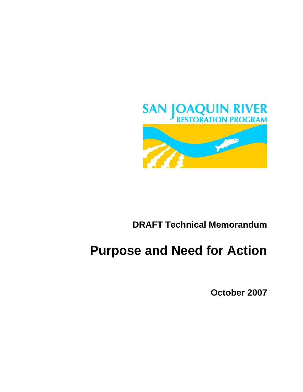

# **DRAFT Technical Memorandum**

# **Purpose and Need for Action**

**October 2007**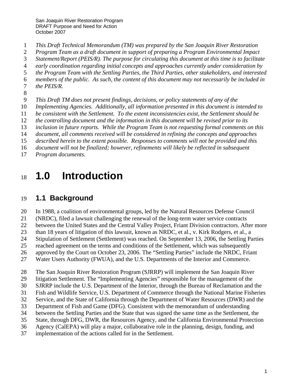- 1 *This Draft Technical Memorandum (TM) was prepared by the San Joaquin River Restoration*
- 2 *Program Team as a draft document in support of preparing a Program Environmental Impact*
- 3 *Statement/Report (PEIS/R). The purpose for circulating this document at this time is to facilitate*
- 4 *early coordination regarding initial concepts and approaches currently under consideration by*
- 5 *the Program Team with the Settling Parties, the Third Parties, other stakeholders, and interested*
- 6 *members of the public. As such, the content of this document may not necessarily be included in*  7 *the PEIS/R.*
- 
- 8
- 9 *This Draft TM does not present findings, decisions, or policy statements of any of the*
- 10 *Implementing Agencies. Additionally, all information presented in this document is intended to*
- 11 *be consistent with the Settlement. To the extent inconsistencies exist, the Settlement should be*
- 12 *the controlling document and the information in this document will be revised prior to its*
- 13 *inclusion in future reports. While the Program Team is not requesting formal comments on this*
- 14 *document, all comments received will be considered in refining the concepts and approaches*
- 15 *described herein to the extent possible. Responses to comments will not be provided and this*
- 16 *document will not be finalized; however, refinements will likely be reflected in subsequent*
- 17 *Program documents.*

# <sup>18</sup>**1.0 Introduction**

### 19 **1.1 Background**

20 In 1988, a coalition of environmental groups, led by the Natural Resources Defense Council

21 (NRDC), filed a lawsuit challenging the renewal of the long-term water service contracts

22 between the United States and the Central Valley Project, Friant Division contractors. After more

23 than 18 years of litigation of this lawsuit, known as NRDC, et al., v. Kirk Rodgers, et al., a

24 Stipulation of Settlement (Settlement) was reached. On September 13, 2006, the Settling Parties

- 25 reached agreement on the terms and conditions of the Settlement, which was subsequently
- 26 approved by the Court on October 23, 2006. The "Settling Parties" include the NRDC, Friant
- 27 Water Users Authority (FWUA), and the U.S. Departments of the Interior and Commerce.

28 The San Joaquin River Restoration Program (SJRRP) will implement the San Joaquin River

29 litigation Settlement. The "Implementing Agencies" responsible for the management of the

30 SJRRP include the U.S. Department of the Interior, through the Bureau of Reclamation and the

- 31 Fish and Wildlife Service, U.S. Department of Commerce through the National Marine Fisheries
- 32 Service, and the State of California through the Department of Water Resources (DWR) and the
- 33 Department of Fish and Game (DFG). Consistent with the memorandum of understanding
- 34 between the Settling Parties and the State that was signed the same time as the Settlement, the
- 35 State, through DFG, DWR, the Resources Agency, and the California Environmental Protection
- 36 Agency (CalEPA) will play a major, collaborative role in the planning, design, funding, and
- 37 implementation of the actions called for in the Settlement.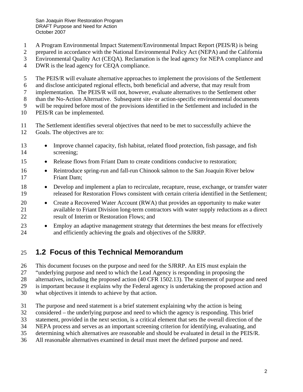1 A Program Environmental Impact Statement/Environmental Impact Report (PEIS/R) is being

2 prepared in accordance with the National Environmental Policy Act (NEPA) and the California

3 Environmental Quality Act (CEQA). Reclamation is the lead agency for NEPA compliance and

4 DWR is the lead agency for CEQA compliance.

5 The PEIS/R will evaluate alternative approaches to implement the provisions of the Settlement

6 and disclose anticipated regional effects, both beneficial and adverse, that may result from

7 implementation. The PEIS/R will not, however, evaluate alternatives to the Settlement other

8 than the No-Action Alternative. Subsequent site- or action-specific environmental documents

9 will be required before most of the provisions identified in the Settlement and included in the

- 10 PEIS/R can be implemented.
- 11 The Settlement identifies several objectives that need to be met to successfully achieve the
- 12 Goals. The objectives are to:
- 13 Improve channel capacity, fish habitat, related flood protection, fish passage, and fish 14 screening;
- 15 Release flows from Friant Dam to create conditions conducive to restoration;
- 16 Reintroduce spring-run and fall-run Chinook salmon to the San Joaquin River below 17 Friant Dam;
- 18 Develop and implement a plan to recirculate, recapture, reuse, exchange, or transfer water 19 released for Restoration Flows consistent with certain criteria identified in the Settlement;
- 20 Create a Recovered Water Account (RWA) that provides an opportunity to make water 21 available to Friant Division long-term contractors with water supply reductions as a direct 22 result of Interim or Restoration Flows; and
- 23 Employ an adaptive management strategy that determines the best means for effectively 24 and efficiently achieving the goals and objectives of the SJRRP.

#### 25 **1.2 Focus of this Technical Memorandum**

26 This document focuses on the purpose and need for the SJRRP. An EIS must explain the

27 "underlying purpose and need to which the Lead Agency is responding in proposing the

28 alternatives, including the proposed action (40 CFR 1502.13). The statement of purpose and need

29 is important because it explains why the Federal agency is undertaking the proposed action and

- 30 what objectives it intends to achieve by that action.
- 31 The purpose and need statement is a brief statement explaining why the action is being
- 32 considered the underlying purpose and need to which the agency is responding. This brief
- 33 statement, provided in the next section, is a critical element that sets the overall direction of the
- 34 NEPA process and serves as an important screening criterion for identifying, evaluating, and
- 35 determining which alternatives are reasonable and should be evaluated in detail in the PEIS/R.
- 36 All reasonable alternatives examined in detail must meet the defined purpose and need.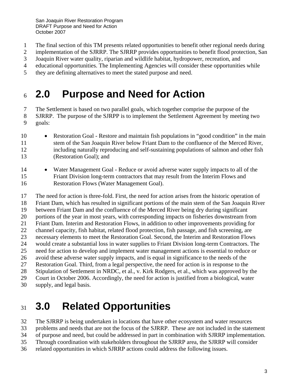- 1 The final section of this TM presents related opportunities to benefit other regional needs during
- 2 implementation of the SJRRP. The SJRRP provides opportunities to benefit flood protection, San
- 3 Joaquin River water quality, riparian and wildlife habitat, hydropower, recreation, and
- 4 educational opportunities. The Implementing Agencies will consider these opportunities while
- 5 they are defining alternatives to meet the stated purpose and need.

# <sup>6</sup>**2.0 Purpose and Need for Action**

7 The Settlement is based on two parallel goals, which together comprise the purpose of the 8 SJRRP. The purpose of the SJRPP is to implement the Settlement Agreement by meeting two 9 goals:

- 10 Restoration Goal Restore and maintain fish populations in "good condition" in the main 11 stem of the San Joaquin River below Friant Dam to the confluence of the Merced River, 12 including naturally reproducing and self-sustaining populations of salmon and other fish 13 (Restoration Goal); and
- 14 Water Management Goal Reduce or avoid adverse water supply impacts to all of the 15 Friant Division long-term contractors that may result from the Interim Flows and 16 Restoration Flows (Water Management Goal).

17 The need for action is three-fold. First, the need for action arises from the historic operation of 18 Friant Dam, which has resulted in significant portions of the main stem of the San Joaquin River 19 between Friant Dam and the confluence of the Merced River being dry during significant 20 portions of the year in most years, with corresponding impacts on fisheries downstream from 21 Friant Dam. Interim and Restoration Flows, in addition to other improvements providing for 22 channel capacity, fish habitat, related flood protection, fish passage, and fish screening, are 23 necessary elements to meet the Restoration Goal. Second, the Interim and Restoration Flows 24 would create a substantial loss in water supplies to Friant Division long-term Contractors. The 25 need for action to develop and implement water management actions is essential to reduce or 26 avoid these adverse water supply impacts, and is equal in significance to the needs of the 27 Restoration Goal. Third, from a legal perspective, the need for action is in response to the 28 Stipulation of Settlement in NRDC, et al., v. Kirk Rodgers, et al., which was approved by the 29 Court in October 2006. Accordingly, the need for action is justified from a biological, water 30 supply, and legal basis.

# <sup>31</sup>**3.0 Related Opportunities**

32 The SJRRP is being undertaken in locations that have other ecosystem and water resources

33 problems and needs that are not the focus of the SJRRP. These are not included in the statement

34 of purpose and need, but could be addressed in part in combination with SJRRP implementation.

- 35 Through coordination with stakeholders throughout the SJRRP area, the SJRRP will consider
- 36 related opportunities in which SJRRP actions could address the following issues.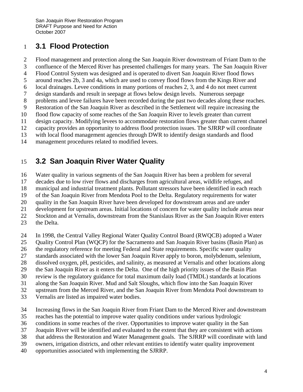#### 1 **3.1 Flood Protection**

- 2 Flood management and protection along the San Joaquin River downstream of Friant Dam to the
- 3 confluence of the Merced River has presented challenges for many years. The San Joaquin River
- 4 Flood Control System was designed and is operated to divert San Joaquin River flood flows
- 5 around reaches 2b, 3 and 4a, which are used to convey flood flows from the Kings River and
- 6 local drainages. Levee conditions in many portions of reaches 2, 3, and 4 do not meet current
- 7 design standards and result in seepage at flows below design levels. Numerous seepage
- 8 problems and levee failures have been recorded during the past two decades along these reaches.
- 9 Restoration of the San Joaquin River as described in the Settlement will require increasing the
- 10 flood flow capacity of some reaches of the San Joaquin River to levels greater than current
- 11 design capacity. Modifying levees to accommodate restoration flows greater than current channel
- 12 capacity provides an opportunity to address flood protection issues. The SJRRP will coordinate
- 13 with local flood management agencies through DWR to identify design standards and flood
- 14 management procedures related to modified levees.

### 15 **3.2 San Joaquin River Water Quality**

16 Water quality in various segments of the San Joaquin River has been a problem for several

- 17 decades due to low river flows and discharges from agricultural areas, wildlife refuges, and
- 18 municipal and industrial treatment plants. Pollutant stressors have been identified in each reach
- 19 of the San Joaquin River from Mendota Pool to the Delta. Regulatory requirements for water
- 20 quality in the San Joaquin River have been developed for downstream areas and are under
- 21 development for upstream areas. Initial locations of concern for water quality include areas near
- 22 Stockton and at Vernalis, downstream from the Stanislaus River as the San Joaquin River enters
- 23 the Delta.
- 24 In 1998, the Central Valley Regional Water Quality Control Board (RWQCB) adopted a Water
- 25 Quality Control Plan (WQCP) for the Sacramento and San Joaquin River basins (Basin Plan) as
- 26 the regulatory reference for meeting Federal and State requirements. Specific water quality
- 27 standards associated with the lower San Joaquin River apply to boron, molybdenum, selenium,
- 28 dissolved oxygen, pH, pesticides, and salinity, as measured at Vernalis and other locations along
- 29 the San Joaquin River as it enters the Delta. One of the high priority issues of the Basin Plan
- 30 review is the regulatory guidance for total maximum daily load (TMDL) standards at locations
- 31 along the San Joaquin River. Mud and Salt Sloughs, which flow into the San Joaquin River
- 32 upstream from the Merced River, and the San Joaquin River from Mendota Pool downstream to
- 33 Vernalis are listed as impaired water bodies.
- 34 Increasing flows in the San Joaquin River from Friant Dam to the Merced River and downstream
- 35 reaches has the potential to improve water quality conditions under various hydrologic
- 36 conditions in some reaches of the river. Opportunities to improve water quality in the San
- 37 Joaquin River will be identified and evaluated to the extent that they are consistent with actions
- 38 that address the Restoration and Water Management goals. The SJRRP will coordinate with land
- 39 owners, irrigation districts, and other relevant entities to identify water quality improvement
- 40 opportunities associated with implementing the SJRRP.